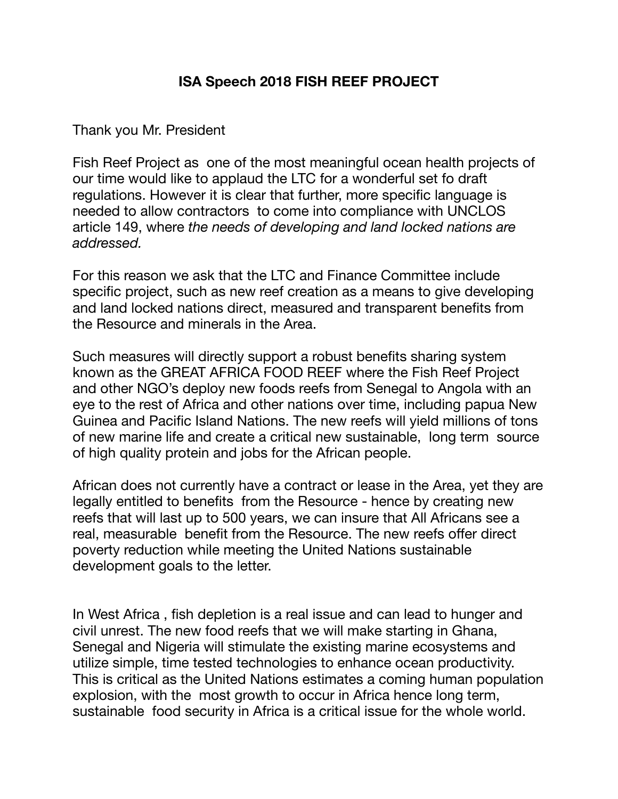## **ISA Speech 2018 FISH REEF PROJECT**

Thank you Mr. President

Fish Reef Project as one of the most meaningful ocean health projects of our time would like to applaud the LTC for a wonderful set fo draft regulations. However it is clear that further, more specific language is needed to allow contractors to come into compliance with UNCLOS article 149, where *the needs of developing and land locked nations are addressed.*

For this reason we ask that the LTC and Finance Committee include specific project, such as new reef creation as a means to give developing and land locked nations direct, measured and transparent benefits from the Resource and minerals in the Area.

Such measures will directly support a robust benefits sharing system known as the GREAT AFRICA FOOD REEF where the Fish Reef Project and other NGO's deploy new foods reefs from Senegal to Angola with an eye to the rest of Africa and other nations over time, including papua New Guinea and Pacific Island Nations. The new reefs will yield millions of tons of new marine life and create a critical new sustainable, long term source of high quality protein and jobs for the African people.

African does not currently have a contract or lease in the Area, yet they are legally entitled to benefits from the Resource - hence by creating new reefs that will last up to 500 years, we can insure that All Africans see a real, measurable benefit from the Resource. The new reefs offer direct poverty reduction while meeting the United Nations sustainable development goals to the letter.

In West Africa , fish depletion is a real issue and can lead to hunger and civil unrest. The new food reefs that we will make starting in Ghana, Senegal and Nigeria will stimulate the existing marine ecosystems and utilize simple, time tested technologies to enhance ocean productivity. This is critical as the United Nations estimates a coming human population explosion, with the most growth to occur in Africa hence long term, sustainable food security in Africa is a critical issue for the whole world.